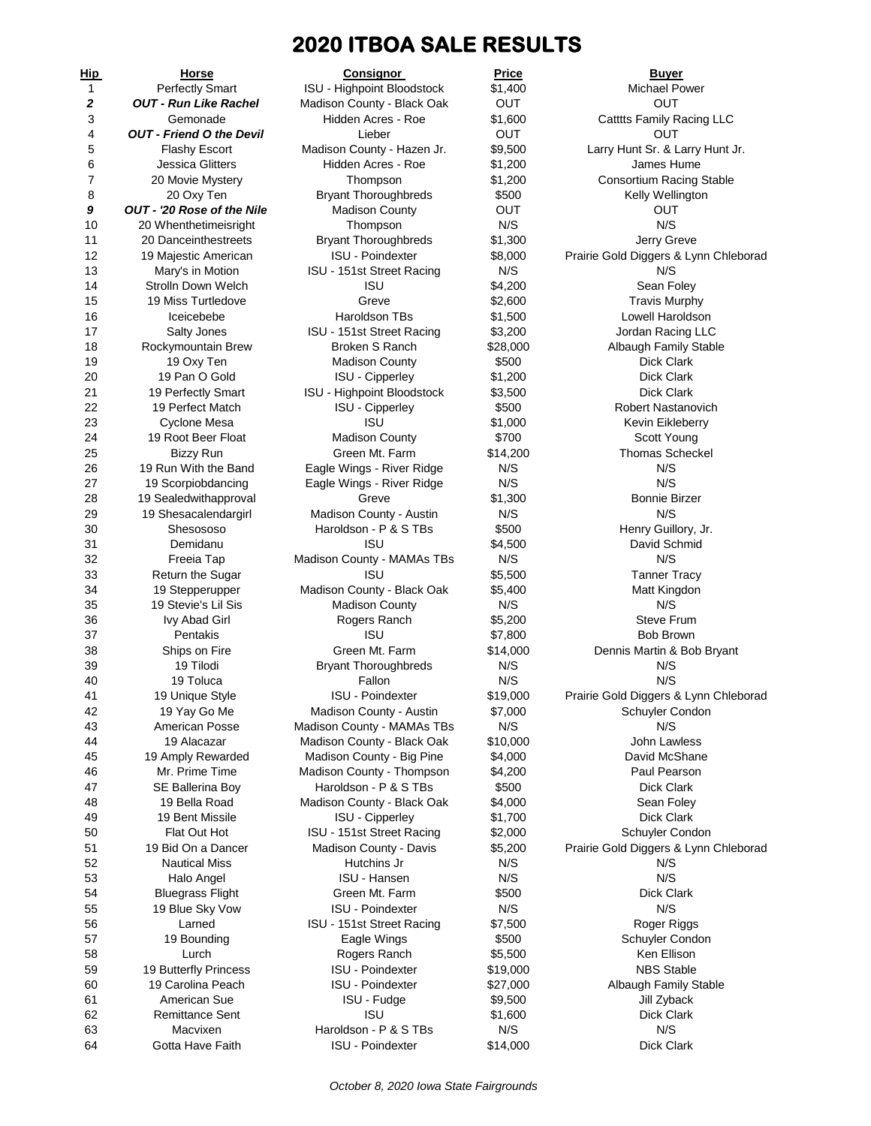# **2020 ITBOA SALE RESULTS**

| <u>Hip</u> | <u>Horse</u>                           | <b>Consignor</b>                                       | Price          | <b>Buyer</b>                                 |
|------------|----------------------------------------|--------------------------------------------------------|----------------|----------------------------------------------|
| 1          | <b>Perfectly Smart</b>                 | <b>ISU - Highpoint Bloodstock</b>                      | \$1,400        | Michael Power                                |
| 2          | <b>OUT - Run Like Rachel</b>           | Madison County - Black Oak                             | <b>OUT</b>     | OUT                                          |
| 3          | Gemonade                               | Hidden Acres - Roe                                     | \$1,600        | Catttts Family Racing LLC                    |
| 4          | <b>OUT - Friend O the Devil</b>        | Lieber                                                 | <b>OUT</b>     | OUT                                          |
| 5          | <b>Flashy Escort</b>                   | Madison County - Hazen Jr.                             | \$9,500        | Larry Hunt Sr. & Larry Hunt Jr.              |
| 6          | <b>Jessica Glitters</b>                | Hidden Acres - Roe                                     | \$1,200        | James Hume                                   |
| 7          | 20 Movie Mystery                       | Thompson                                               | \$1,200        | <b>Consortium Racing Stable</b>              |
| 8          | 20 Oxy Ten                             | <b>Bryant Thoroughbreds</b>                            | \$500          | Kelly Wellington                             |
| 9          | OUT - '20 Rose of the Nile             | <b>Madison County</b>                                  | <b>OUT</b>     | Ουτ                                          |
| 10         | 20 Whenthetimeisright                  | Thompson                                               | N/S            | N/S                                          |
| 11         | 20 Danceinthestreets                   | <b>Bryant Thoroughbreds</b><br><b>ISU - Poindexter</b> | \$1,300        | Jerry Greve                                  |
| 12         | 19 Majestic American                   |                                                        | \$8,000<br>N/S | Prairie Gold Diggers & Lynn Chleborad<br>N/S |
| 13<br>14   | Mary's in Motion<br>Strolln Down Welch | ISU - 151st Street Racing<br><b>ISU</b>                | \$4,200        | Sean Foley                                   |
| 15         | 19 Miss Turtledove                     | Greve                                                  | \$2,600        | <b>Travis Murphy</b>                         |
| 16         | Iceicebebe                             | Haroldson TBs                                          | \$1,500        | Lowell Haroldson                             |
| 17         | Salty Jones                            | ISU - 151st Street Racing                              | \$3,200        | Jordan Racing LLC                            |
| 18         | Rockymountain Brew                     | <b>Broken S Ranch</b>                                  | \$28,000       | Albaugh Family Stable                        |
| 19         | 19 Oxy Ten                             | <b>Madison County</b>                                  | \$500          | Dick Clark                                   |
| 20         | 19 Pan O Gold                          | <b>ISU - Cipperley</b>                                 | \$1,200        | Dick Clark                                   |
| 21         | 19 Perfectly Smart                     | ISU - Highpoint Bloodstock                             | \$3,500        | <b>Dick Clark</b>                            |
| 22         | 19 Perfect Match                       | ISU - Cipperley                                        | \$500          | Robert Nastanovich                           |
| 23         | <b>Cyclone Mesa</b>                    | ISU                                                    | \$1,000        | Kevin Eikleberry                             |
| 24         | 19 Root Beer Float                     | <b>Madison County</b>                                  | \$700          | Scott Young                                  |
| 25         | <b>Bizzy Run</b>                       | Green Mt. Farm                                         | \$14,200       | <b>Thomas Scheckel</b>                       |
| 26         | 19 Run With the Band                   | Eagle Wings - River Ridge                              | N/S            | N/S                                          |
| 27         | 19 Scorpiobdancing                     | Eagle Wings - River Ridge                              | N/S            | N/S                                          |
| 28         | 19 Sealedwithapproval                  | Greve                                                  | \$1,300        | <b>Bonnie Birzer</b>                         |
| 29         | 19 Shesacalendargirl                   | Madison County - Austin                                | N/S            | N/S                                          |
| 30         | Shesososo                              | Haroldson - P & S TBs                                  | \$500          | Henry Guillory, Jr.                          |
| 31         | Demidanu                               | <b>ISU</b>                                             | \$4,500        | David Schmid                                 |
| 32         | Freeia Tap                             | Madison County - MAMAs TBs                             | N/S            | N/S                                          |
| 33         | Return the Sugar                       | <b>ISU</b>                                             | \$5,500        | <b>Tanner Tracy</b>                          |
| 34         | 19 Stepperupper                        | Madison County - Black Oak                             | \$5,400        | Matt Kingdon                                 |
| 35         | 19 Stevie's Lil Sis                    | <b>Madison County</b>                                  | N/S            | N/S                                          |
| 36         | <b>Ivy Abad Girl</b>                   | Rogers Ranch                                           | \$5,200        | <b>Steve Frum</b>                            |
| 37         | Pentakis                               | <b>ISU</b>                                             | \$7,800        | <b>Bob Brown</b>                             |
| 38<br>39   | Ships on Fire                          | Green Mt. Farm                                         | \$14,000       | Dennis Martin & Bob Bryant                   |
| 40         | 19 Tilodi<br>19 Toluca                 | <b>Bryant Thoroughbreds</b><br>Fallon                  | N/S<br>N/S     | N/S<br>N/S                                   |
| 41         | 19 Unique Style                        | <b>ISU - Poindexter</b>                                | \$19,000       | Prairie Gold Diggers & Lynn Chleborad        |
| 42         | 19 Yay Go Me                           | Madison County - Austin                                | \$7,000        | Schuyler Condon                              |
| 43         | American Posse                         | Madison County - MAMAs TBs                             | N/S            | N/S                                          |
| 44         | 19 Alacazar                            | Madison County - Black Oak                             | \$10,000       | John Lawless                                 |
| 45         | 19 Amply Rewarded                      | Madison County - Big Pine                              | \$4,000        | David McShane                                |
| 46         | Mr. Prime Time                         | Madison County - Thompson                              | \$4,200        | Paul Pearson                                 |
| 47         | SE Ballerina Boy                       | Haroldson - P & S TBs                                  | \$500          | Dick Clark                                   |
| 48         | 19 Bella Road                          | Madison County - Black Oak                             | \$4,000        | Sean Foley                                   |
| 49         | 19 Bent Missile                        | <b>ISU - Cipperley</b>                                 | \$1,700        | Dick Clark                                   |
| 50         | Flat Out Hot                           | ISU - 151st Street Racing                              | \$2,000        | Schuyler Condon                              |
| 51         | 19 Bid On a Dancer                     | Madison County - Davis                                 | \$5,200        | Prairie Gold Diggers & Lynn Chleborad        |
| 52         | <b>Nautical Miss</b>                   | Hutchins Jr                                            | N/S            | N/S                                          |
| 53         | Halo Angel                             | <b>ISU - Hansen</b>                                    | N/S            | N/S                                          |
| 54         | <b>Bluegrass Flight</b>                | Green Mt. Farm                                         | \$500          | Dick Clark                                   |
| 55         | 19 Blue Sky Vow                        | <b>ISU - Poindexter</b>                                | N/S            | N/S                                          |
| 56         | Larned                                 | ISU - 151st Street Racing                              | \$7,500        | Roger Riggs                                  |
| 57         | 19 Bounding                            | Eagle Wings                                            | \$500          | Schuyler Condon                              |
| 58         | Lurch                                  | Rogers Ranch                                           | \$5,500        | Ken Ellison                                  |
| 59         | 19 Butterfly Princess                  | <b>ISU - Poindexter</b>                                | \$19,000       | <b>NBS Stable</b>                            |
| 60         | 19 Carolina Peach                      | <b>ISU - Poindexter</b>                                | \$27,000       | Albaugh Family Stable                        |
| 61         | American Sue                           | ISU - Fudge                                            | \$9,500        | Jill Zyback                                  |
| 62         | Remittance Sent                        | <b>ISU</b>                                             | \$1,600        | <b>Dick Clark</b>                            |
| 63         | Macvixen                               | Haroldson - P & S TBs                                  | N/S            | N/S                                          |
| 64         | Gotta Have Faith                       | <b>ISU - Poindexter</b>                                | \$14,000       | Dick Clark                                   |